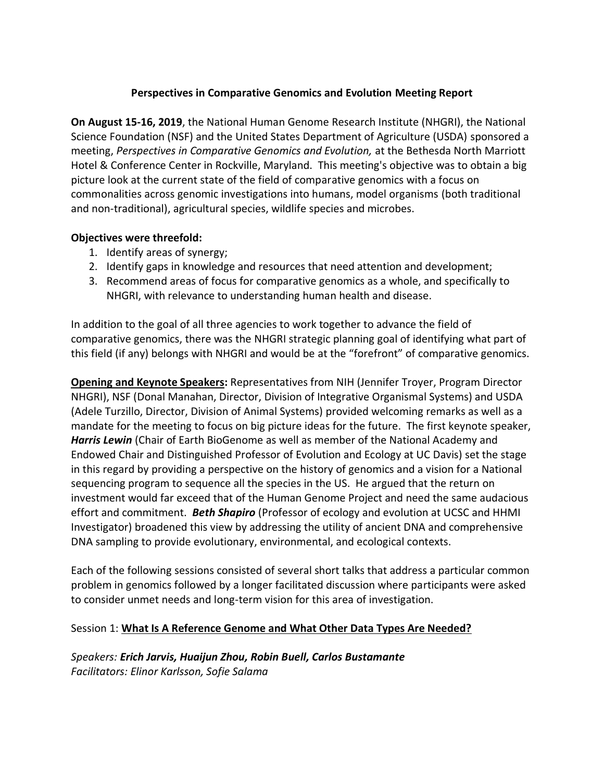#### **Perspectives in Comparative Genomics and Evolution Meeting Report**

**On August 15-16, 2019**, the National Human Genome Research Institute (NHGRI), the National Science Foundation (NSF) and the United States Department of Agriculture (USDA) sponsored a meeting, *Perspectives in Comparative Genomics and Evolution,* at the Bethesda North Marriott Hotel & Conference Center in Rockville, Maryland. This meeting's objective was to obtain a big picture look at the current state of the field of comparative genomics with a focus on commonalities across genomic investigations into humans, model organisms (both traditional and non-traditional), agricultural species, wildlife species and microbes.

#### **Objectives were threefold:**

- 1. Identify areas of synergy;
- 2. Identify gaps in knowledge and resources that need attention and development;
- 3. Recommend areas of focus for comparative genomics as a whole, and specifically to NHGRI, with relevance to understanding human health and disease.

In addition to the goal of all three agencies to work together to advance the field of comparative genomics, there was the NHGRI strategic planning goal of identifying what part of this field (if any) belongs with NHGRI and would be at the "forefront" of comparative genomics.

**Opening and Keynote Speakers:** Representatives from NIH (Jennifer Troyer, Program Director NHGRI), NSF (Donal Manahan, Director, Division of Integrative Organismal Systems) and USDA (Adele Turzillo, Director, Division of Animal Systems) provided welcoming remarks as well as a mandate for the meeting to focus on big picture ideas for the future. The first keynote speaker, *Harris Lewin* (Chair of Earth BioGenome as well as member of the National Academy and Endowed Chair and Distinguished Professor of Evolution and Ecology at UC Davis) set the stage in this regard by providing a perspective on the history of genomics and a vision for a National sequencing program to sequence all the species in the US. He argued that the return on investment would far exceed that of the Human Genome Project and need the same audacious effort and commitment. *Beth Shapiro* (Professor of ecology and evolution at UCSC and HHMI Investigator) broadened this view by addressing the utility of ancient DNA and comprehensive DNA sampling to provide evolutionary, environmental, and ecological contexts.

Each of the following sessions consisted of several short talks that address a particular common problem in genomics followed by a longer facilitated discussion where participants were asked to consider unmet needs and long-term vision for this area of investigation.

#### Session 1: **What Is A Reference Genome and What Other Data Types Are Needed?**

*Speakers: Erich Jarvis, Huaijun Zhou, Robin Buell, Carlos Bustamante Facilitators: Elinor Karlsson, Sofie Salama*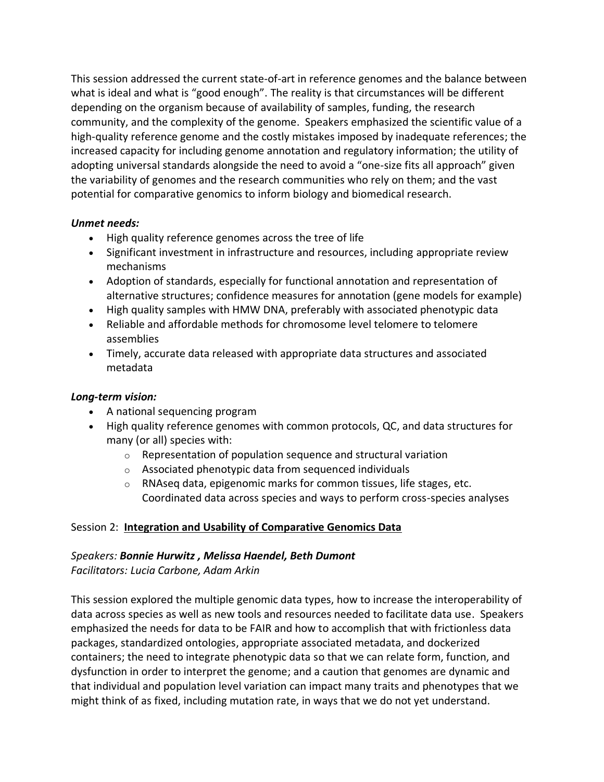This session addressed the current state-of-art in reference genomes and the balance between what is ideal and what is "good enough". The reality is that circumstances will be different depending on the organism because of availability of samples, funding, the research community, and the complexity of the genome. Speakers emphasized the scientific value of a high-quality reference genome and the costly mistakes imposed by inadequate references; the increased capacity for including genome annotation and regulatory information; the utility of adopting universal standards alongside the need to avoid a "one-size fits all approach" given the variability of genomes and the research communities who rely on them; and the vast potential for comparative genomics to inform biology and biomedical research.

#### *Unmet needs:*

- High quality reference genomes across the tree of life
- Significant investment in infrastructure and resources, including appropriate review mechanisms
- Adoption of standards, especially for functional annotation and representation of alternative structures; confidence measures for annotation (gene models for example)
- High quality samples with HMW DNA, preferably with associated phenotypic data
- Reliable and affordable methods for chromosome level telomere to telomere assemblies
- Timely, accurate data released with appropriate data structures and associated metadata

## *Long-term vision:*

- A national sequencing program
- High quality reference genomes with common protocols, QC, and data structures for many (or all) species with:
	- $\circ$  Representation of population sequence and structural variation
	- o Associated phenotypic data from sequenced individuals
	- o RNAseq data, epigenomic marks for common tissues, life stages, etc. Coordinated data across species and ways to perform cross-species analyses

## Session 2: **Integration and Usability of Comparative Genomics Data**

## *Speakers: Bonnie Hurwitz , Melissa Haendel, Beth Dumont*

*Facilitators: Lucia Carbone, Adam Arkin*

This session explored the multiple genomic data types, how to increase the interoperability of data across species as well as new tools and resources needed to facilitate data use. Speakers emphasized the needs for data to be FAIR and how to accomplish that with frictionless data packages, standardized ontologies, appropriate associated metadata, and dockerized containers; the need to integrate phenotypic data so that we can relate form, function, and dysfunction in order to interpret the genome; and a caution that genomes are dynamic and that individual and population level variation can impact many traits and phenotypes that we might think of as fixed, including mutation rate, in ways that we do not yet understand.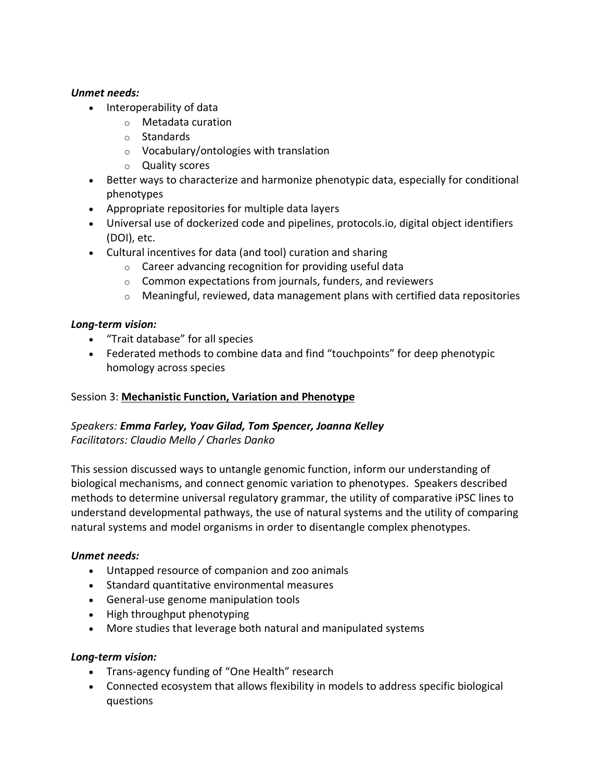#### *Unmet needs:*

- Interoperability of data
	- o Metadata curation
	- o Standards
	- o Vocabulary/ontologies with translation
	- o Quality scores
- Better ways to characterize and harmonize phenotypic data, especially for conditional phenotypes
- Appropriate repositories for multiple data layers
- Universal use of dockerized code and pipelines, protocols.io, digital object identifiers (DOI), etc.
- Cultural incentives for data (and tool) curation and sharing
	- o Career advancing recognition for providing useful data
	- $\circ$  Common expectations from journals, funders, and reviewers
	- $\circ$  Meaningful, reviewed, data management plans with certified data repositories

## *Long-term vision:*

- "Trait database" for all species
- Federated methods to combine data and find "touchpoints" for deep phenotypic homology across species

## Session 3: **Mechanistic Function, Variation and Phenotype**

## *Speakers: Emma Farley, Yoav Gilad, Tom Spencer, Joanna Kelley Facilitators: Claudio Mello / Charles Danko*

This session discussed ways to untangle genomic function, inform our understanding of biological mechanisms, and connect genomic variation to phenotypes. Speakers described methods to determine universal regulatory grammar, the utility of comparative iPSC lines to understand developmental pathways, the use of natural systems and the utility of comparing natural systems and model organisms in order to disentangle complex phenotypes.

## *Unmet needs:*

- Untapped resource of companion and zoo animals
- Standard quantitative environmental measures
- General-use genome manipulation tools
- High throughput phenotyping
- More studies that leverage both natural and manipulated systems

## *Long-term vision:*

- Trans-agency funding of "One Health" research
- Connected ecosystem that allows flexibility in models to address specific biological questions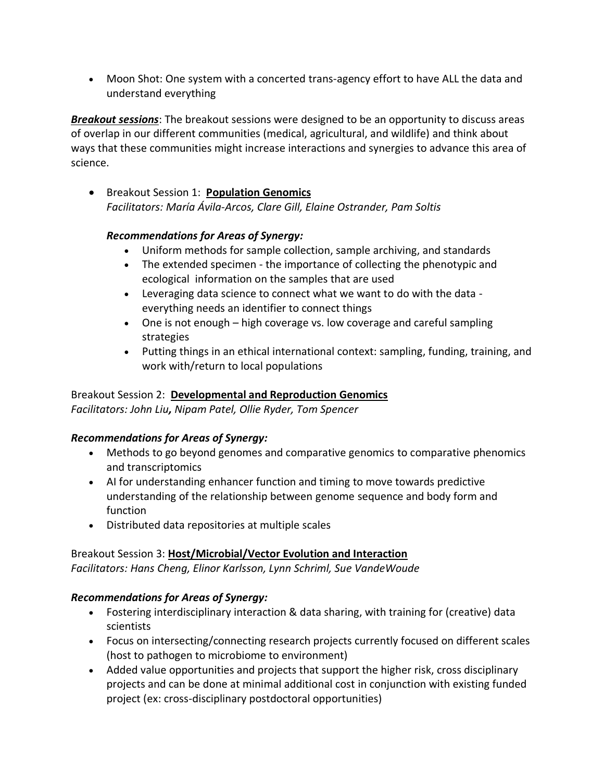• Moon Shot: One system with a concerted trans-agency effort to have ALL the data and understand everything

*Breakout sessions*: The breakout sessions were designed to be an opportunity to discuss areas of overlap in our different communities (medical, agricultural, and wildlife) and think about ways that these communities might increase interactions and synergies to advance this area of science.

• Breakout Session 1: **Population Genomics** *Facilitators: María Ávila-Arcos, Clare Gill, Elaine Ostrander, Pam Soltis* 

## *Recommendations for Areas of Synergy:*

- Uniform methods for sample collection, sample archiving, and standards
- The extended specimen the importance of collecting the phenotypic and ecological information on the samples that are used
- Leveraging data science to connect what we want to do with the data everything needs an identifier to connect things
- One is not enough high coverage vs. low coverage and careful sampling strategies
- Putting things in an ethical international context: sampling, funding, training, and work with/return to local populations

## Breakout Session 2: **Developmental and Reproduction Genomics**

*Facilitators: John Liu, Nipam Patel, Ollie Ryder, Tom Spencer*

## *Recommendations for Areas of Synergy:*

- Methods to go beyond genomes and comparative genomics to comparative phenomics and transcriptomics
- AI for understanding enhancer function and timing to move towards predictive understanding of the relationship between genome sequence and body form and function
- Distributed data repositories at multiple scales

# Breakout Session 3: **Host/Microbial/Vector Evolution and Interaction**

*Facilitators: Hans Cheng, Elinor Karlsson, Lynn Schriml, Sue VandeWoude*

# *Recommendations for Areas of Synergy:*

- Fostering interdisciplinary interaction & data sharing, with training for (creative) data scientists
- Focus on intersecting/connecting research projects currently focused on different scales (host to pathogen to microbiome to environment)
- Added value opportunities and projects that support the higher risk, cross disciplinary projects and can be done at minimal additional cost in conjunction with existing funded project (ex: cross-disciplinary postdoctoral opportunities)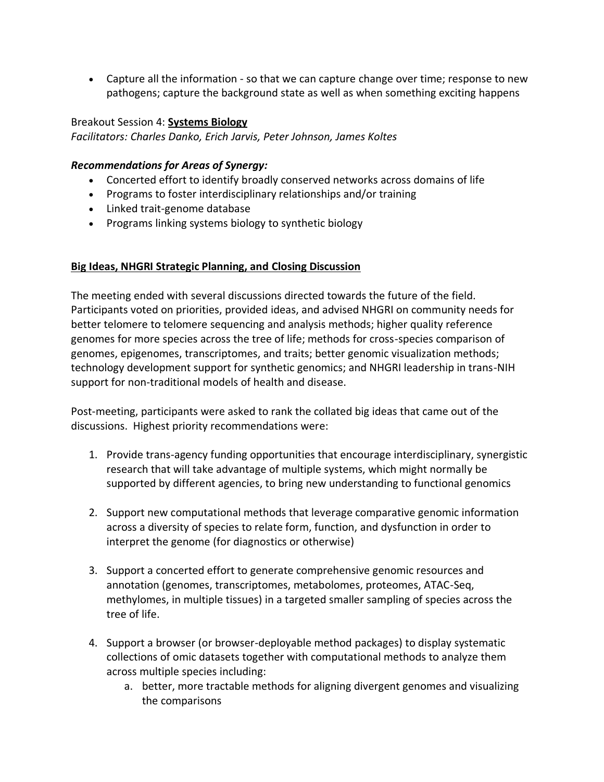• Capture all the information - so that we can capture change over time; response to new pathogens; capture the background state as well as when something exciting happens

#### Breakout Session 4: **Systems Biology**

*Facilitators: Charles Danko, Erich Jarvis, Peter Johnson, James Koltes*

#### *Recommendations for Areas of Synergy:*

- Concerted effort to identify broadly conserved networks across domains of life
- Programs to foster interdisciplinary relationships and/or training
- Linked trait-genome database
- Programs linking systems biology to synthetic biology

#### **Big Ideas, NHGRI Strategic Planning, and Closing Discussion**

The meeting ended with several discussions directed towards the future of the field. Participants voted on priorities, provided ideas, and advised NHGRI on community needs for better telomere to telomere sequencing and analysis methods; higher quality reference genomes for more species across the tree of life; methods for cross-species comparison of genomes, epigenomes, transcriptomes, and traits; better genomic visualization methods; technology development support for synthetic genomics; and NHGRI leadership in trans-NIH support for non-traditional models of health and disease.

Post-meeting, participants were asked to rank the collated big ideas that came out of the discussions. Highest priority recommendations were:

- 1. Provide trans-agency funding opportunities that encourage interdisciplinary, synergistic research that will take advantage of multiple systems, which might normally be supported by different agencies, to bring new understanding to functional genomics
- 2. Support new computational methods that leverage comparative genomic information across a diversity of species to relate form, function, and dysfunction in order to interpret the genome (for diagnostics or otherwise)
- 3. Support a concerted effort to generate comprehensive genomic resources and annotation (genomes, transcriptomes, metabolomes, proteomes, ATAC-Seq, methylomes, in multiple tissues) in a targeted smaller sampling of species across the tree of life.
- 4. Support a browser (or browser-deployable method packages) to display systematic collections of omic datasets together with computational methods to analyze them across multiple species including:
	- a. better, more tractable methods for aligning divergent genomes and visualizing the comparisons